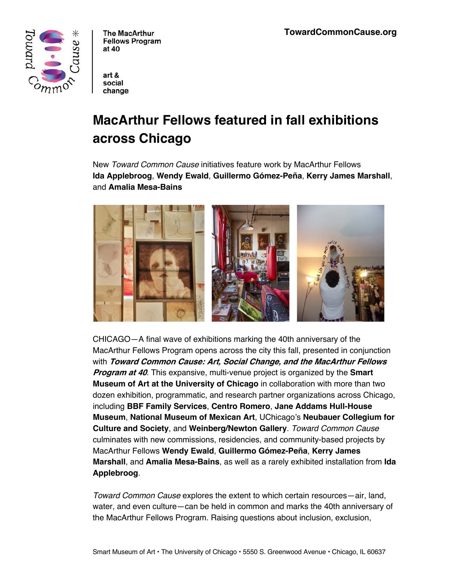

The MacArthur **Fellows Program** at 40

art & social change

# **MacArthur Fellows featured in fall exhibitions across Chicago**

New *Toward Common Cause* initiatives feature work by MacArthur Fellows **Ida Applebroog**, **Wendy Ewald**, **Guillermo Gómez-Peña**, **Kerry James Marshall**, and **Amalia Mesa-Bains**



CHICAGO—A final wave of exhibitions marking the 40th anniversary of the MacArthur Fellows Program opens across the city this fall, presented in conjunction with **Toward Common Cause: Art, Social Change, and the MacArthur Fellows Program at 40**. This expansive, multi-venue project is organized by the **Smart Museum of Art at the University of Chicago** in collaboration with more than two dozen exhibition, programmatic, and research partner organizations across Chicago, including **BBF Family Services**, **Centro Romero**, **Jane Addams Hull-House Museum**, **National Museum of Mexican Art**, UChicago's **Neubauer Collegium for Culture and Society**, and **Weinberg/Newton Gallery**. *Toward Common Cause* culminates with new commissions, residencies, and community-based projects by MacArthur Fellows **Wendy Ewald**, **Guillermo Gómez-Peña**, **Kerry James Marshall**, and **Amalia Mesa-Bains**, as well as a rarely exhibited installation from **Ida Applebroog**.

*Toward Common Cause* explores the extent to which certain resources—air, land, water, and even culture—can be held in common and marks the 40th anniversary of the MacArthur Fellows Program. Raising questions about inclusion, exclusion,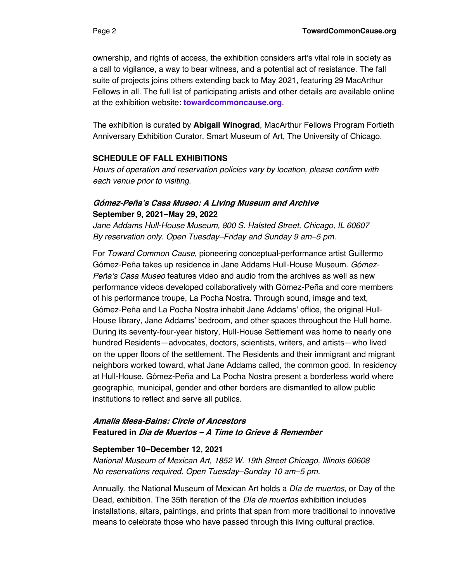The exhibition is curated by **Abigail Winograd**, MacArthur Fellows Program Fortieth Anniversary Exhibition Curator, Smart Museum of Art, The University of Chicago.

#### **SCHEDULE OF FALL EXHIBITIONS**

*Hours of operation and reservation policies vary by location, please confirm with each venue prior to visiting.*

#### **Gómez-Peña's Casa Museo: A Living Museum and Archive September 9, 2021–May 29, 2022**

*Jane Addams Hull-House Museum, 800 S. Halsted Street, Chicago, IL 60607 By reservation only. Open Tuesday–Friday and Sunday 9 am–5 pm.*

For *Toward Common Cause*, pioneering conceptual-performance artist Guillermo Gómez-Peña takes up residence in Jane Addams Hull-House Museum. *Gómez-Peña's Casa Museo* features video and audio from the archives as well as new performance videos developed collaboratively with Gómez-Peña and core members of his performance troupe, La Pocha Nostra. Through sound, image and text, Gómez-Peña and La Pocha Nostra inhabit Jane Addams' office, the original Hull-House library, Jane Addams' bedroom, and other spaces throughout the Hull home. During its seventy-four-year history, Hull-House Settlement was home to nearly one hundred Residents—advocates, doctors, scientists, writers, and artists—who lived on the upper floors of the settlement. The Residents and their immigrant and migrant neighbors worked toward, what Jane Addams called, the common good. In residency at Hull-House, Gómez-Peña and La Pocha Nostra present a borderless world where geographic, municipal, gender and other borders are dismantled to allow public institutions to reflect and serve all publics.

# **Amalia Mesa-Bains: Circle of Ancestors Featured in Día de Muertos – A Time to Grieve & Remember**

#### **September 10–December 12, 2021**

*National Museum of Mexican Art, 1852 W. 19th Street Chicago, Illinois 60608 No reservations required. Open Tuesday–Sunday 10 am–5 pm.*

Annually, the National Museum of Mexican Art holds a *Día de muertos*, or Day of the Dead, exhibition. The 35th iteration of the *Día de muertos* exhibition includes installations, altars, paintings, and prints that span from more traditional to innovative means to celebrate those who have passed through this living cultural practice.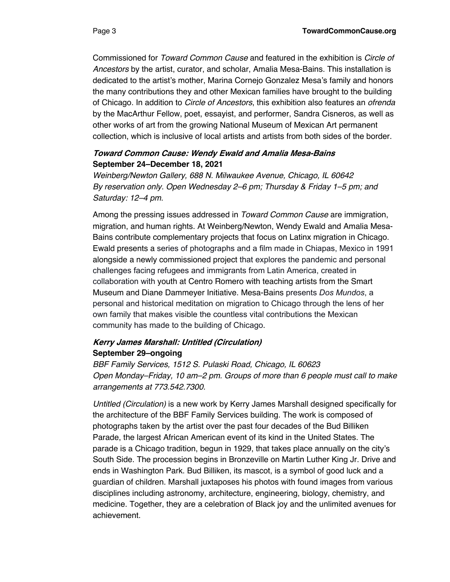Commissioned for *Toward Common Cause* and featured in the exhibition is *Circle of Ancestors* by the artist, curator, and scholar, Amalia Mesa-Bains. This installation is dedicated to the artist's mother, Marina Cornejo Gonzalez Mesa's family and honors the many contributions they and other Mexican families have brought to the building of Chicago. In addition to *Circle of Ancestors*, this exhibition also features an *ofrenda* by the MacArthur Fellow, poet, essayist, and performer, Sandra Cisneros, as well as other works of art from the growing National Museum of Mexican Art permanent collection, which is inclusive of local artists and artists from both sides of the border.

### **Toward Common Cause: Wendy Ewald and Amalia Mesa-Bains September 24–December 18, 2021**

*Weinberg/Newton Gallery, 688 N. Milwaukee Avenue, Chicago, IL 60642 By reservation only. Open Wednesday 2–6 pm; Thursday & Friday 1–5 pm; and Saturday: 12–4 pm.*

Among the pressing issues addressed in *Toward Common Cause* are immigration, migration, and human rights. At Weinberg/Newton, Wendy Ewald and Amalia Mesa-Bains contribute complementary projects that focus on Latinx migration in Chicago. Ewald presents a series of photographs and a film made in Chiapas, Mexico in 1991 alongside a newly commissioned project that explores the pandemic and personal challenges facing refugees and immigrants from Latin America, created in collaboration with youth at Centro Romero with teaching artists from the Smart Museum and Diane Dammeyer Initiative. Mesa-Bains presents *Dos Mundos*, a personal and historical meditation on migration to Chicago through the lens of her own family that makes visible the countless vital contributions the Mexican community has made to the building of Chicago.

# **Kerry James Marshall: Untitled (Circulation) September 29–ongoing**

*BBF Family Services, 1512 S. Pulaski Road, Chicago, IL 60623 Open Monday–Friday, 10 am–2 pm. Groups of more than 6 people must call to make arrangements at 773.542.7300.*

*Untitled (Circulation)* is a new work by Kerry James Marshall designed specifically for the architecture of the BBF Family Services building. The work is composed of photographs taken by the artist over the past four decades of the Bud Billiken Parade, the largest African American event of its kind in the United States. The parade is a Chicago tradition, begun in 1929, that takes place annually on the city's South Side. The procession begins in Bronzeville on Martin Luther King Jr. Drive and ends in Washington Park. Bud Billiken, its mascot, is a symbol of good luck and a guardian of children. Marshall juxtaposes his photos with found images from various disciplines including astronomy, architecture, engineering, biology, chemistry, and medicine. Together, they are a celebration of Black joy and the unlimited avenues for achievement.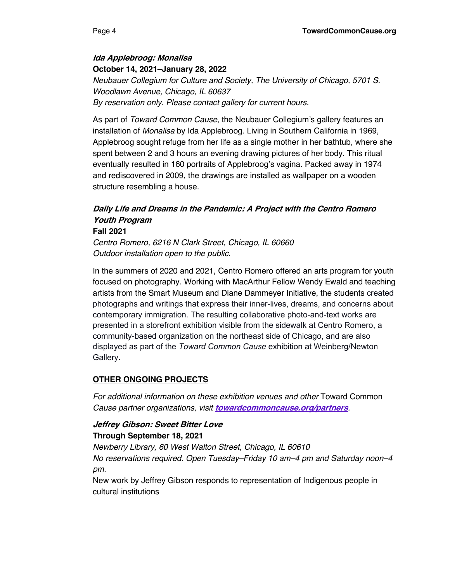**Ida Applebroog: Monalisa October 14, 2021–January 28, 2022** *Neubauer Collegium for Culture and Society, The University of Chicago, 5701 S. Woodlawn Avenue, Chicago, IL 60637 By reservation only. Please contact gallery for current hours.*

As part of *Toward Common Cause*, the Neubauer Collegium's gallery features an installation of *Monalisa* by Ida Applebroog. Living in Southern California in 1969, Applebroog sought refuge from her life as a single mother in her bathtub, where she spent between 2 and 3 hours an evening drawing pictures of her body. This ritual eventually resulted in 160 portraits of Applebroog's vagina. Packed away in 1974 and rediscovered in 2009, the drawings are installed as wallpaper on a wooden structure resembling a house.

# **Daily Life and Dreams in the Pandemic: A Project with the Centro Romero Youth Program**

#### **Fall 2021**

*Centro Romero, 6216 N Clark Street, Chicago, IL 60660 Outdoor installation open to the public.*

In the summers of 2020 and 2021, Centro Romero offered an arts program for youth focused on photography. Working with MacArthur Fellow Wendy Ewald and teaching artists from the Smart Museum and Diane Dammeyer Initiative, the students created photographs and writings that express their inner-lives, dreams, and concerns about contemporary immigration. The resulting collaborative photo-and-text works are presented in a storefront exhibition visible from the sidewalk at Centro Romero, a community-based organization on the northeast side of Chicago, and are also displayed as part of the *Toward Common Cause* exhibition at Weinberg/Newton Gallery.

### **OTHER ONGOING PROJECTS**

*For additional information on these exhibition venues and other* Toward Common *Cause partner organizations, visit* **towardcommoncause.org/partners***.*

#### **Jeffrey Gibson: Sweet Bitter Love Through September 18, 2021**

*Newberry Library, 60 West Walton Street, Chicago, IL 60610 No reservations required. Open Tuesday–Friday 10 am–4 pm and Saturday noon–4 pm.*

New work by Jeffrey Gibson responds to representation of Indigenous people in cultural institutions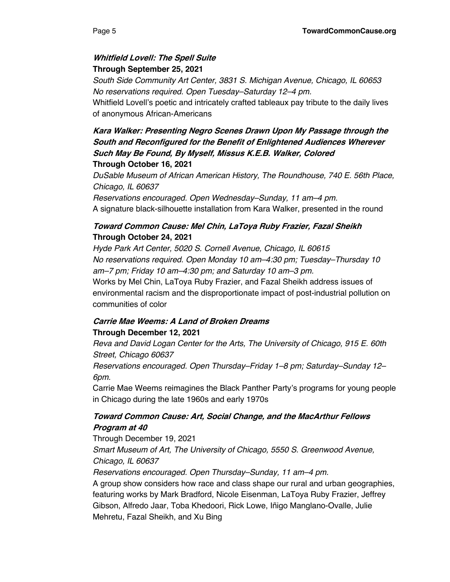# **Whitfield Lovell: The Spell Suite Through September 25, 2021**

*South Side Community Art Center, 3831 S. Michigan Avenue, Chicago, IL 60653 No reservations required. Open Tuesday–Saturday 12–4 pm.*

Whitfield Lovell's poetic and intricately crafted tableaux pay tribute to the daily lives of anonymous African-Americans

# **Kara Walker: Presenting Negro Scenes Drawn Upon My Passage through the South and Reconfigured for the Benefit of Enlightened Audiences Wherever Such May Be Found, By Myself, Missus K.E.B. Walker, Colored Through October 16, 2021**

*DuSable Museum of African American History, The Roundhouse, 740 E. 56th Place, Chicago, IL 60637*

*Reservations encouraged. Open Wednesday–Sunday, 11 am–4 pm.* A signature black-silhouette installation from Kara Walker, presented in the round

# **Toward Common Cause: Mel Chin, LaToya Ruby Frazier, Fazal Sheikh Through October 24, 2021**

*Hyde Park Art Center, 5020 S. Cornell Avenue, Chicago, IL 60615 No reservations required. Open Monday 10 am–4:30 pm; Tuesday–Thursday 10 am–7 pm; Friday 10 am–4:30 pm; and Saturday 10 am–3 pm.* Works by Mel Chin, LaToya Ruby Frazier, and Fazal Sheikh address issues of environmental racism and the disproportionate impact of post-industrial pollution on communities of color

# **Carrie Mae Weems: A Land of Broken Dreams Through December 12, 2021**

*Reva and David Logan Center for the Arts, The University of Chicago, 915 E. 60th Street, Chicago 60637*

*Reservations encouraged. Open Thursday–Friday 1–8 pm; Saturday–Sunday 12– 6pm.*

Carrie Mae Weems reimagines the Black Panther Party's programs for young people in Chicago during the late 1960s and early 1970s

# **Toward Common Cause: Art, Social Change, and the MacArthur Fellows Program at 40**

Through December 19, 2021 *Smart Museum of Art, The University of Chicago, 5550 S. Greenwood Avenue, Chicago, IL 60637*

*Reservations encouraged. Open Thursday–Sunday, 11 am–4 pm.*

A group show considers how race and class shape our rural and urban geographies, featuring works by Mark Bradford, Nicole Eisenman, LaToya Ruby Frazier, Jeffrey Gibson, Alfredo Jaar, Toba Khedoori, Rick Lowe, Iñigo Manglano-Ovalle, Julie Mehretu, Fazal Sheikh, and Xu Bing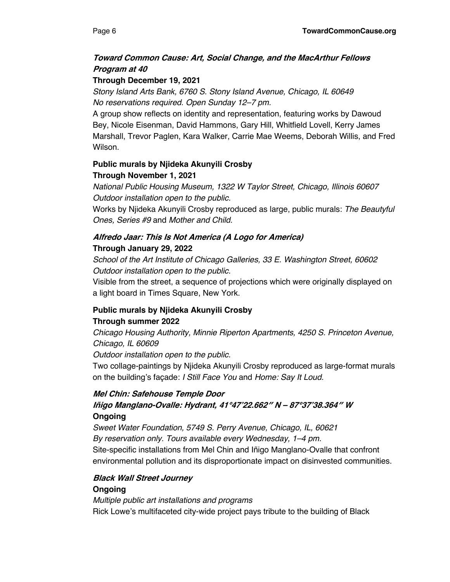# **Toward Common Cause: Art, Social Change, and the MacArthur Fellows Program at 40**

# **Through December 19, 2021**

*Stony Island Arts Bank, 6760 S. Stony Island Avenue, Chicago, IL 60649 No reservations required. Open Sunday 12–7 pm.*

A group show reflects on identity and representation, featuring works by Dawoud Bey, Nicole Eisenman, David Hammons, Gary Hill, Whitfield Lovell, Kerry James Marshall, Trevor Paglen, Kara Walker, Carrie Mae Weems, Deborah Willis, and Fred Wilson.

# **Public murals by Njideka Akunyili Crosby Through November 1, 2021**

*National Public Housing Museum, 1322 W Taylor Street, Chicago, Illinois 60607 Outdoor installation open to the public.*

Works by Njideka Akunyili Crosby reproduced as large, public murals: *The Beautyful Ones, Series #9* and *Mother and Child.*

# **Alfredo Jaar: This Is Not America (A Logo for America) Through January 29, 2022**

*School of the Art Institute of Chicago Galleries, 33 E. Washington Street, 60602 Outdoor installation open to the public.*

Visible from the street, a sequence of projections which were originally displayed on a light board in Times Square, New York.

# **Public murals by Njideka Akunyili Crosby**

### **Through summer 2022**

*Chicago Housing Authority, Minnie Riperton Apartments, 4250 S. Princeton Avenue, Chicago, IL 60609*

*Outdoor installation open to the public.*

Two collage-paintings by Njideka Akunyili Crosby reproduced as large-format murals on the building's façade: *I Still Face You* and *Home: Say It Loud.*

# **Mel Chin: Safehouse Temple Door Iñigo Manglano-Ovalle: Hydrant, 41°47'22.662″ N – 87°37'38.364″ W Ongoing**

*Sweet Water Foundation, 5749 S. Perry Avenue, Chicago, IL, 60621 By reservation only. Tours available every Wednesday, 1–4 pm.* Site-specific installations from Mel Chin and Iñigo Manglano-Ovalle that confront environmental pollution and its disproportionate impact on disinvested communities.

# **Black Wall Street Journey**

# **Ongoing**

*Multiple public art installations and programs* Rick Lowe's multifaceted city-wide project pays tribute to the building of Black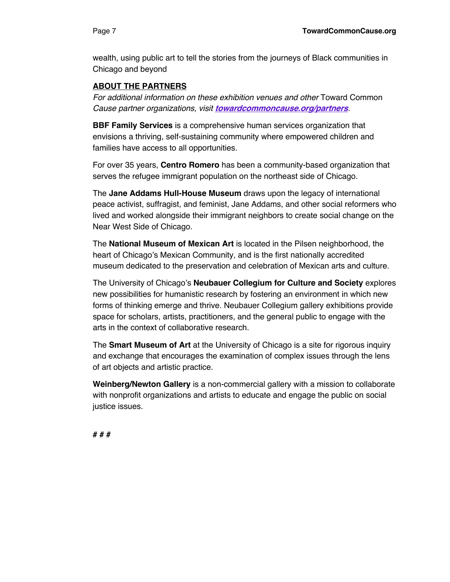wealth, using public art to tell the stories from the journeys of Black communities in Chicago and beyond

# **ABOUT THE PARTNERS**

*For additional information on these exhibition venues and other* Toward Common *Cause partner organizations, visit* **towardcommoncause.org/partners***.*

**BBF Family Services** is a comprehensive human services organization that envisions a thriving, self-sustaining community where empowered children and families have access to all opportunities.

For over 35 years, **Centro Romero** has been a community-based organization that serves the refugee immigrant population on the northeast side of Chicago.

The **Jane Addams Hull-House Museum** draws upon the legacy of international peace activist, suffragist, and feminist, Jane Addams, and other social reformers who lived and worked alongside their immigrant neighbors to create social change on the Near West Side of Chicago.

The **National Museum of Mexican Art** is located in the Pilsen neighborhood, the heart of Chicago's Mexican Community, and is the first nationally accredited museum dedicated to the preservation and celebration of Mexican arts and culture.

The University of Chicago's **Neubauer Collegium for Culture and Society** explores new possibilities for humanistic research by fostering an environment in which new forms of thinking emerge and thrive. Neubauer Collegium gallery exhibitions provide space for scholars, artists, practitioners, and the general public to engage with the arts in the context of collaborative research.

The **Smart Museum of Art** at the University of Chicago is a site for rigorous inquiry and exchange that encourages the examination of complex issues through the lens of art objects and artistic practice.

**Weinberg/Newton Gallery** is a non-commercial gallery with a mission to collaborate with nonprofit organizations and artists to educate and engage the public on social justice issues.

**# # #**